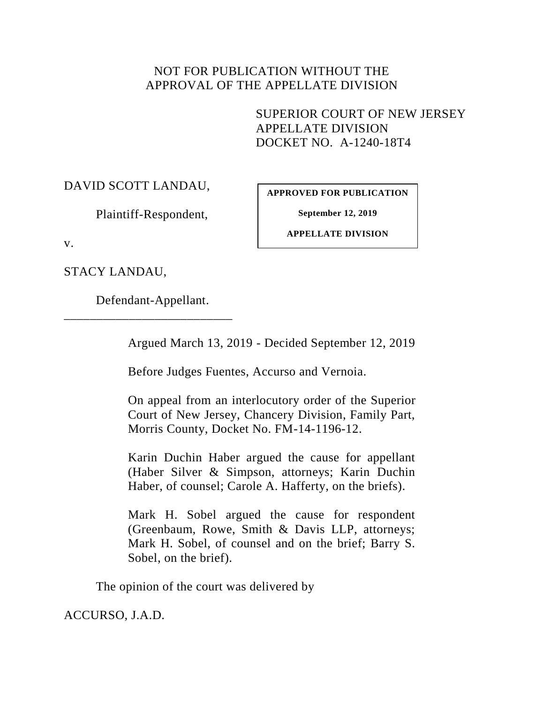## NOT FOR PUBLICATION WITHOUT THE APPROVAL OF THE APPELLATE DIVISION

SUPERIOR COURT OF NEW JERSEY APPELLATE DIVISION DOCKET NO. A-1240-18T4

DAVID SCOTT LANDAU,

**APPROVED FOR PUBLICATION**

**September 12, 2019**

Plaintiff-Respondent,

**APPELLATE DIVISION**

v.

STACY LANDAU,

Defendant-Appellant.

\_\_\_\_\_\_\_\_\_\_\_\_\_\_\_\_\_\_\_\_\_\_\_\_\_\_

Argued March 13, 2019 - Decided September 12, 2019

Before Judges Fuentes, Accurso and Vernoia.

On appeal from an interlocutory order of the Superior Court of New Jersey, Chancery Division, Family Part, Morris County, Docket No. FM-14-1196-12.

Karin Duchin Haber argued the cause for appellant (Haber Silver & Simpson, attorneys; Karin Duchin Haber, of counsel; Carole A. Hafferty, on the briefs).

Mark H. Sobel argued the cause for respondent (Greenbaum, Rowe, Smith & Davis LLP, attorneys; Mark H. Sobel, of counsel and on the brief; Barry S. Sobel, on the brief).

The opinion of the court was delivered by

ACCURSO, J.A.D.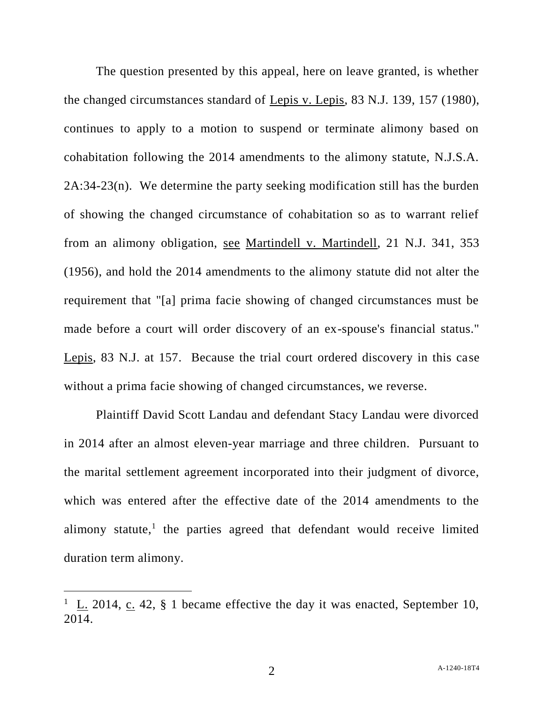The question presented by this appeal, here on leave granted, is whether the changed circumstances standard of Lepis v. Lepis, 83 N.J. 139, 157 (1980), continues to apply to a motion to suspend or terminate alimony based on cohabitation following the 2014 amendments to the alimony statute, N.J.S.A. 2A:34-23(n). We determine the party seeking modification still has the burden of showing the changed circumstance of cohabitation so as to warrant relief from an alimony obligation, see Martindell v. Martindell, 21 N.J. 341, 353 (1956), and hold the 2014 amendments to the alimony statute did not alter the requirement that "[a] prima facie showing of changed circumstances must be made before a court will order discovery of an ex-spouse's financial status." Lepis, 83 N.J. at 157. Because the trial court ordered discovery in this case without a prima facie showing of changed circumstances, we reverse.

Plaintiff David Scott Landau and defendant Stacy Landau were divorced in 2014 after an almost eleven-year marriage and three children. Pursuant to the marital settlement agreement incorporated into their judgment of divorce, which was entered after the effective date of the 2014 amendments to the alimony statute,<sup>1</sup> the parties agreed that defendant would receive limited duration term alimony.

<sup>&</sup>lt;sup>1</sup> L. 2014, c. 42, § 1 became effective the day it was enacted, September 10, 2014.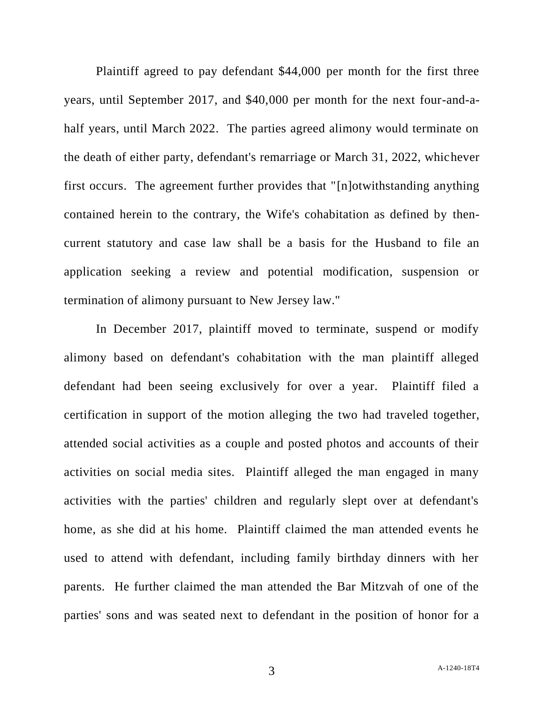Plaintiff agreed to pay defendant \$44,000 per month for the first three years, until September 2017, and \$40,000 per month for the next four-and-ahalf years, until March 2022. The parties agreed alimony would terminate on the death of either party, defendant's remarriage or March 31, 2022, whichever first occurs. The agreement further provides that "[n]otwithstanding anything contained herein to the contrary, the Wife's cohabitation as defined by thencurrent statutory and case law shall be a basis for the Husband to file an application seeking a review and potential modification, suspension or termination of alimony pursuant to New Jersey law."

In December 2017, plaintiff moved to terminate, suspend or modify alimony based on defendant's cohabitation with the man plaintiff alleged defendant had been seeing exclusively for over a year. Plaintiff filed a certification in support of the motion alleging the two had traveled together, attended social activities as a couple and posted photos and accounts of their activities on social media sites. Plaintiff alleged the man engaged in many activities with the parties' children and regularly slept over at defendant's home, as she did at his home. Plaintiff claimed the man attended events he used to attend with defendant, including family birthday dinners with her parents. He further claimed the man attended the Bar Mitzvah of one of the parties' sons and was seated next to defendant in the position of honor for a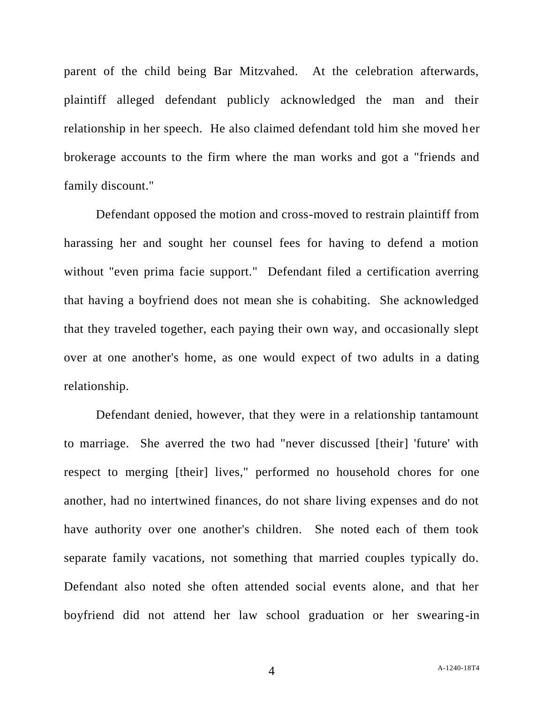parent of the child being Bar Mitzvahed. At the celebration afterwards, plaintiff alleged defendant publicly acknowledged the man and their relationship in her speech. He also claimed defendant told him she moved her brokerage accounts to the firm where the man works and got a "friends and family discount."

Defendant opposed the motion and cross-moved to restrain plaintiff from harassing her and sought her counsel fees for having to defend a motion without "even prima facie support." Defendant filed a certification averring that having a boyfriend does not mean she is cohabiting. She acknowledged that they traveled together, each paying their own way, and occasionally slept over at one another's home, as one would expect of two adults in a dating relationship.

Defendant denied, however, that they were in a relationship tantamount to marriage. She averred the two had "never discussed [their] 'future' with respect to merging [their] lives," performed no household chores for one another, had no intertwined finances, do not share living expenses and do not have authority over one another's children. She noted each of them took separate family vacations, not something that married couples typically do. Defendant also noted she often attended social events alone, and that her boyfriend did not attend her law school graduation or her swearing-in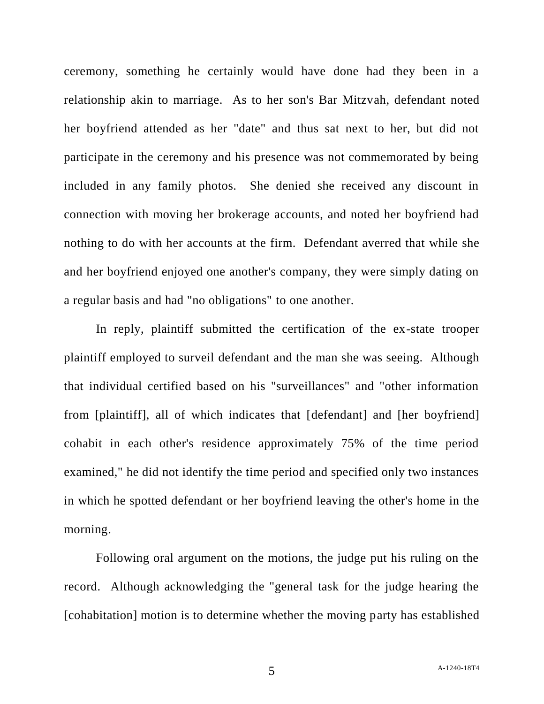ceremony, something he certainly would have done had they been in a relationship akin to marriage. As to her son's Bar Mitzvah, defendant noted her boyfriend attended as her "date" and thus sat next to her, but did not participate in the ceremony and his presence was not commemorated by being included in any family photos. She denied she received any discount in connection with moving her brokerage accounts, and noted her boyfriend had nothing to do with her accounts at the firm. Defendant averred that while she and her boyfriend enjoyed one another's company, they were simply dating on a regular basis and had "no obligations" to one another.

In reply, plaintiff submitted the certification of the ex-state trooper plaintiff employed to surveil defendant and the man she was seeing. Although that individual certified based on his "surveillances" and "other information from [plaintiff], all of which indicates that [defendant] and [her boyfriend] cohabit in each other's residence approximately 75% of the time period examined," he did not identify the time period and specified only two instances in which he spotted defendant or her boyfriend leaving the other's home in the morning.

Following oral argument on the motions, the judge put his ruling on the record. Although acknowledging the "general task for the judge hearing the [cohabitation] motion is to determine whether the moving party has established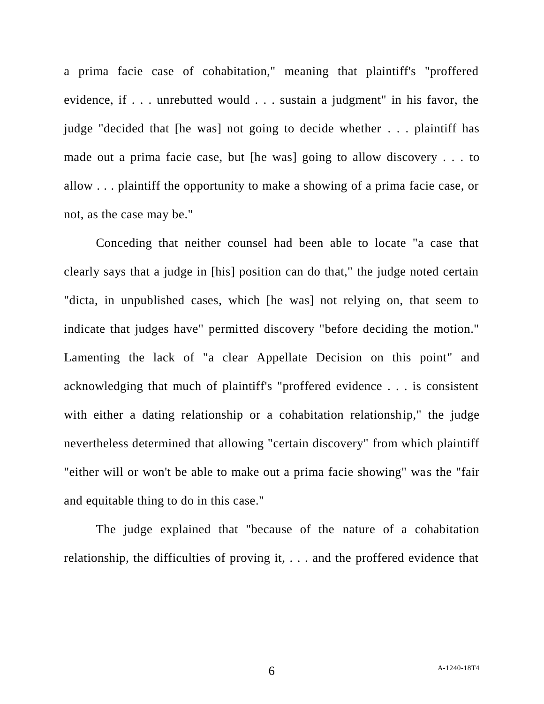a prima facie case of cohabitation," meaning that plaintiff's "proffered evidence, if . . . unrebutted would . . . sustain a judgment" in his favor, the judge "decided that [he was] not going to decide whether . . . plaintiff has made out a prima facie case, but [he was] going to allow discovery . . . to allow . . . plaintiff the opportunity to make a showing of a prima facie case, or not, as the case may be."

Conceding that neither counsel had been able to locate "a case that clearly says that a judge in [his] position can do that," the judge noted certain "dicta, in unpublished cases, which [he was] not relying on, that seem to indicate that judges have" permitted discovery "before deciding the motion." Lamenting the lack of "a clear Appellate Decision on this point" and acknowledging that much of plaintiff's "proffered evidence . . . is consistent with either a dating relationship or a cohabitation relationship," the judge nevertheless determined that allowing "certain discovery" from which plaintiff "either will or won't be able to make out a prima facie showing" was the "fair and equitable thing to do in this case."

The judge explained that "because of the nature of a cohabitation relationship, the difficulties of proving it, . . . and the proffered evidence that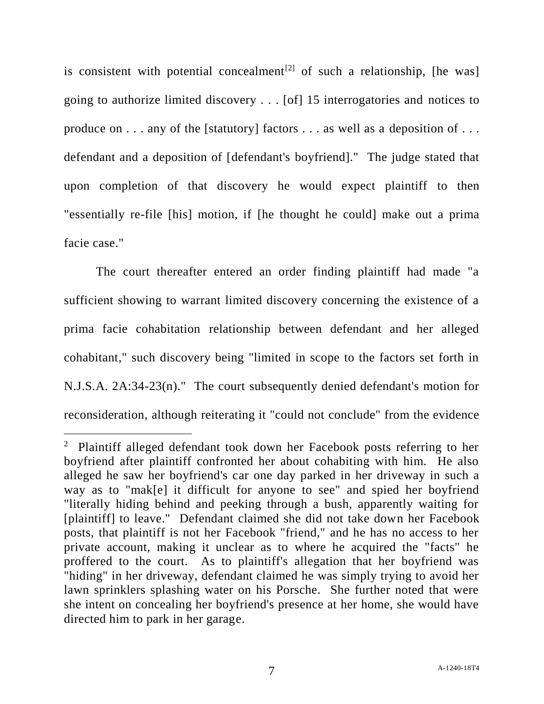is consistent with potential concealment<sup>[2]</sup> of such a relationship, [he was] going to authorize limited discovery . . . [of] 15 interrogatories and notices to produce on . . . any of the [statutory] factors . . . as well as a deposition of . . . defendant and a deposition of [defendant's boyfriend]." The judge stated that upon completion of that discovery he would expect plaintiff to then "essentially re-file [his] motion, if [he thought he could] make out a prima facie case."

The court thereafter entered an order finding plaintiff had made "a sufficient showing to warrant limited discovery concerning the existence of a prima facie cohabitation relationship between defendant and her alleged cohabitant," such discovery being "limited in scope to the factors set forth in N.J.S.A. 2A:34-23(n)." The court subsequently denied defendant's motion for reconsideration, although reiterating it "could not conclude" from the evidence

<sup>&</sup>lt;sup>2</sup> Plaintiff alleged defendant took down her Facebook posts referring to her boyfriend after plaintiff confronted her about cohabiting with him. He also alleged he saw her boyfriend's car one day parked in her driveway in such a way as to "mak[e] it difficult for anyone to see" and spied her boyfriend "literally hiding behind and peeking through a bush, apparently waiting for [plaintiff] to leave." Defendant claimed she did not take down her Facebook posts, that plaintiff is not her Facebook "friend," and he has no access to her private account, making it unclear as to where he acquired the "facts" he proffered to the court. As to plaintiff's allegation that her boyfriend was "hiding" in her driveway, defendant claimed he was simply trying to avoid her lawn sprinklers splashing water on his Porsche. She further noted that were she intent on concealing her boyfriend's presence at her home, she would have directed him to park in her garage.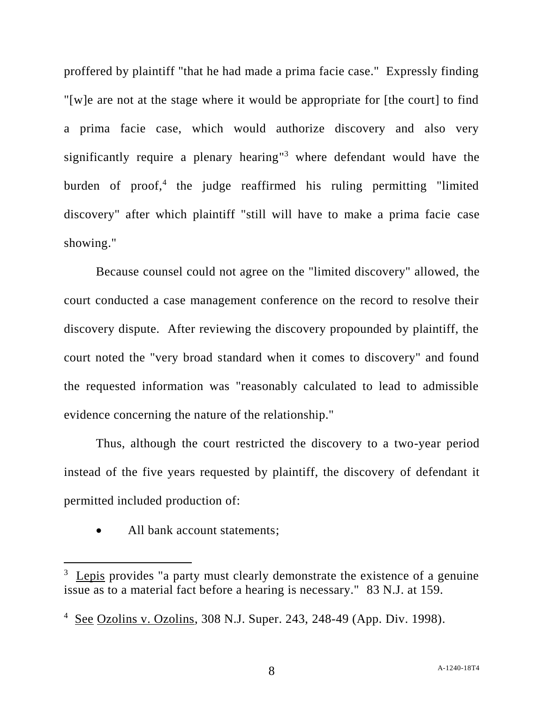proffered by plaintiff "that he had made a prima facie case." Expressly finding "[w]e are not at the stage where it would be appropriate for [the court] to find a prima facie case, which would authorize discovery and also very significantly require a plenary hearing" <sup>3</sup> where defendant would have the burden of proof,<sup>4</sup> the judge reaffirmed his ruling permitting "limited discovery" after which plaintiff "still will have to make a prima facie case showing."

Because counsel could not agree on the "limited discovery" allowed, the court conducted a case management conference on the record to resolve their discovery dispute. After reviewing the discovery propounded by plaintiff, the court noted the "very broad standard when it comes to discovery" and found the requested information was "reasonably calculated to lead to admissible evidence concerning the nature of the relationship."

Thus, although the court restricted the discovery to a two-year period instead of the five years requested by plaintiff, the discovery of defendant it permitted included production of:

All bank account statements;

 $3$  Lepis provides "a party must clearly demonstrate the existence of a genuine issue as to a material fact before a hearing is necessary." 83 N.J. at 159.

<sup>&</sup>lt;sup>4</sup> See Ozolins v. Ozolins, 308 N.J. Super. 243, 248-49 (App. Div. 1998).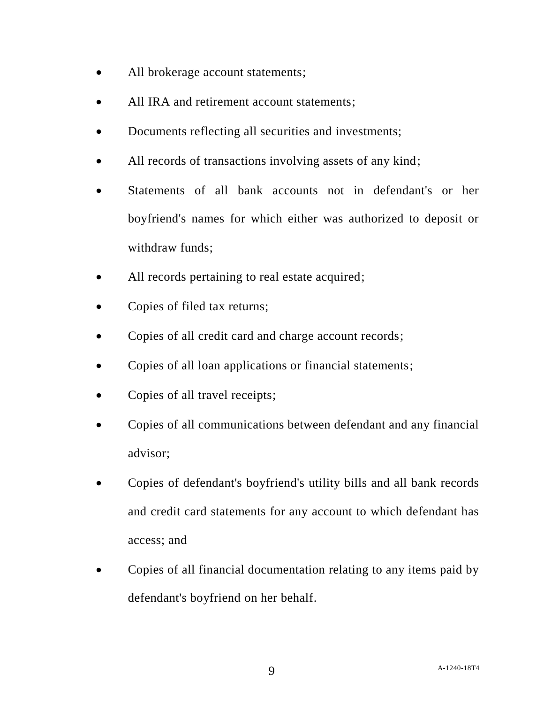- All brokerage account statements;
- All IRA and retirement account statements;
- Documents reflecting all securities and investments;
- All records of transactions involving assets of any kind;
- Statements of all bank accounts not in defendant's or her boyfriend's names for which either was authorized to deposit or withdraw funds;
- All records pertaining to real estate acquired;
- Copies of filed tax returns;
- Copies of all credit card and charge account records;
- Copies of all loan applications or financial statements;
- Copies of all travel receipts;
- Copies of all communications between defendant and any financial advisor;
- Copies of defendant's boyfriend's utility bills and all bank records and credit card statements for any account to which defendant has access; and
- Copies of all financial documentation relating to any items paid by defendant's boyfriend on her behalf.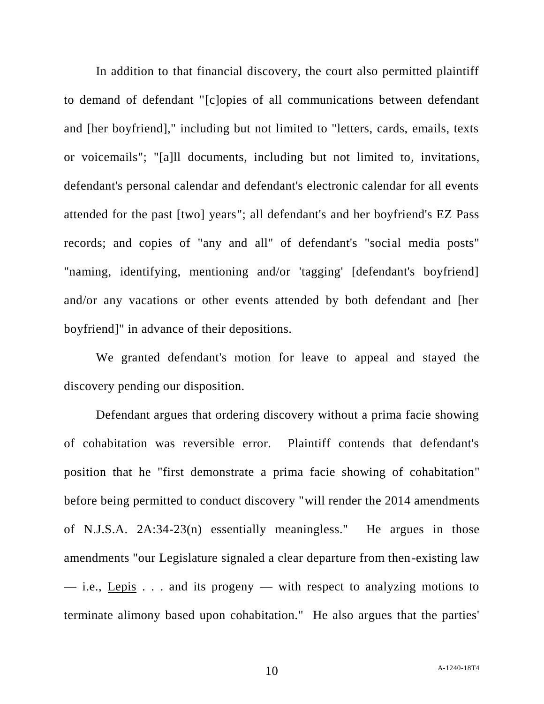In addition to that financial discovery, the court also permitted plaintiff to demand of defendant "[c]opies of all communications between defendant and [her boyfriend]," including but not limited to "letters, cards, emails, texts or voicemails"; "[a]ll documents, including but not limited to, invitations, defendant's personal calendar and defendant's electronic calendar for all events attended for the past [two] years"; all defendant's and her boyfriend's EZ Pass records; and copies of "any and all" of defendant's "social media posts" "naming, identifying, mentioning and/or 'tagging' [defendant's boyfriend] and/or any vacations or other events attended by both defendant and [her boyfriend]" in advance of their depositions.

We granted defendant's motion for leave to appeal and stayed the discovery pending our disposition.

Defendant argues that ordering discovery without a prima facie showing of cohabitation was reversible error. Plaintiff contends that defendant's position that he "first demonstrate a prima facie showing of cohabitation" before being permitted to conduct discovery "will render the 2014 amendments of N.J.S.A. 2A:34-23(n) essentially meaningless." He argues in those amendments "our Legislature signaled a clear departure from then-existing law — i.e., Lepis  $\ldots$  and its progeny — with respect to analyzing motions to terminate alimony based upon cohabitation." He also argues that the parties'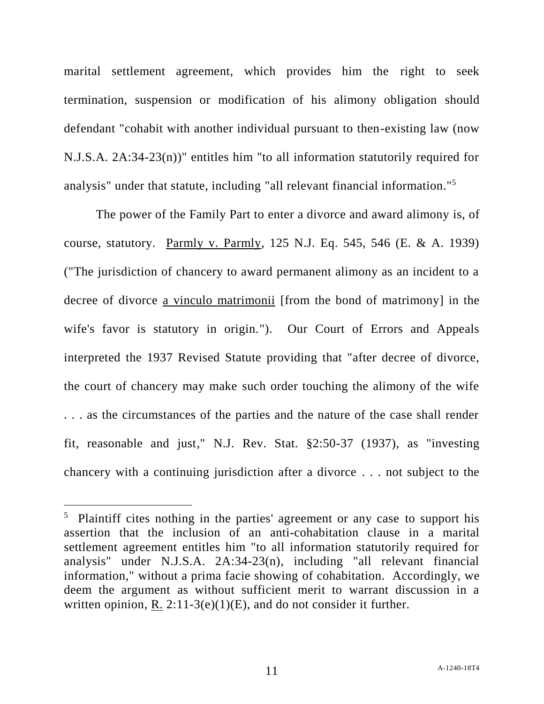marital settlement agreement, which provides him the right to seek termination, suspension or modification of his alimony obligation should defendant "cohabit with another individual pursuant to then-existing law (now N.J.S.A. 2A:34-23(n))" entitles him "to all information statutorily required for analysis" under that statute, including "all relevant financial information." 5

The power of the Family Part to enter a divorce and award alimony is, of course, statutory. Parmly v. Parmly, 125 N.J. Eq. 545, 546 (E. & A. 1939) ("The jurisdiction of chancery to award permanent alimony as an incident to a decree of divorce a vinculo matrimonii [from the bond of matrimony] in the wife's favor is statutory in origin."). Our Court of Errors and Appeals interpreted the 1937 Revised Statute providing that "after decree of divorce, the court of chancery may make such order touching the alimony of the wife . . . as the circumstances of the parties and the nature of the case shall render fit, reasonable and just," N.J. Rev. Stat. §2:50-37 (1937), as "investing chancery with a continuing jurisdiction after a divorce . . . not subject to the

<sup>&</sup>lt;sup>5</sup> Plaintiff cites nothing in the parties' agreement or any case to support his assertion that the inclusion of an anti-cohabitation clause in a marital settlement agreement entitles him "to all information statutorily required for analysis" under N.J.S.A. 2A:34-23(n), including "all relevant financial information," without a prima facie showing of cohabitation. Accordingly, we deem the argument as without sufficient merit to warrant discussion in a written opinion, R.  $2:11-3(e)(1)(E)$ , and do not consider it further.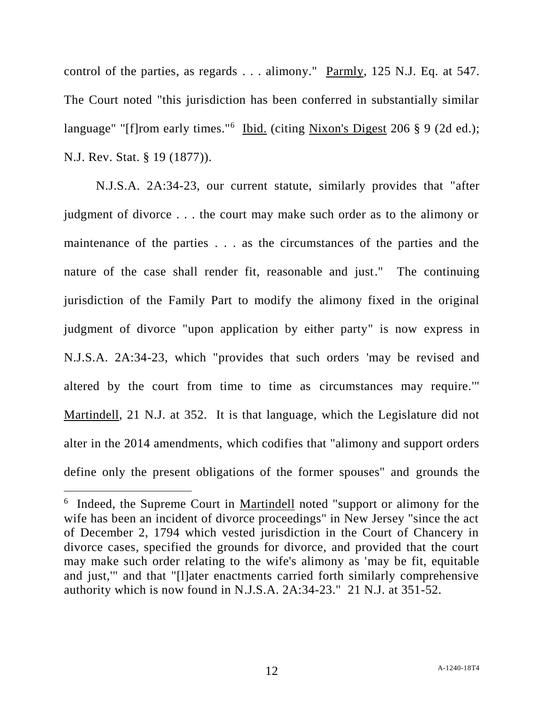control of the parties, as regards . . . alimony." Parmly, 125 N.J. Eq. at 547. The Court noted "this jurisdiction has been conferred in substantially similar language" "[f]rom early times."<sup>6</sup> Ibid. (citing Nixon's Digest 206 § 9 (2d ed.); N.J. Rev. Stat. § 19 (1877)).

N.J.S.A. 2A:34-23, our current statute, similarly provides that "after judgment of divorce . . . the court may make such order as to the alimony or maintenance of the parties . . . as the circumstances of the parties and the nature of the case shall render fit, reasonable and just." The continuing jurisdiction of the Family Part to modify the alimony fixed in the original judgment of divorce "upon application by either party" is now express in N.J.S.A. 2A:34-23, which "provides that such orders 'may be revised and altered by the court from time to time as circumstances may require.'" Martindell, 21 N.J. at 352. It is that language, which the Legislature did not alter in the 2014 amendments, which codifies that "alimony and support orders define only the present obligations of the former spouses" and grounds the

l

<sup>&</sup>lt;sup>6</sup> Indeed, the Supreme Court in Martindell noted "support or alimony for the wife has been an incident of divorce proceedings" in New Jersey "since the act of December 2, 1794 which vested jurisdiction in the Court of Chancery in divorce cases, specified the grounds for divorce, and provided that the court may make such order relating to the wife's alimony as 'may be fit, equitable and just,'" and that "[l]ater enactments carried forth similarly comprehensive authority which is now found in N.J.S.A. 2A:34-23." 21 N.J. at 351-52.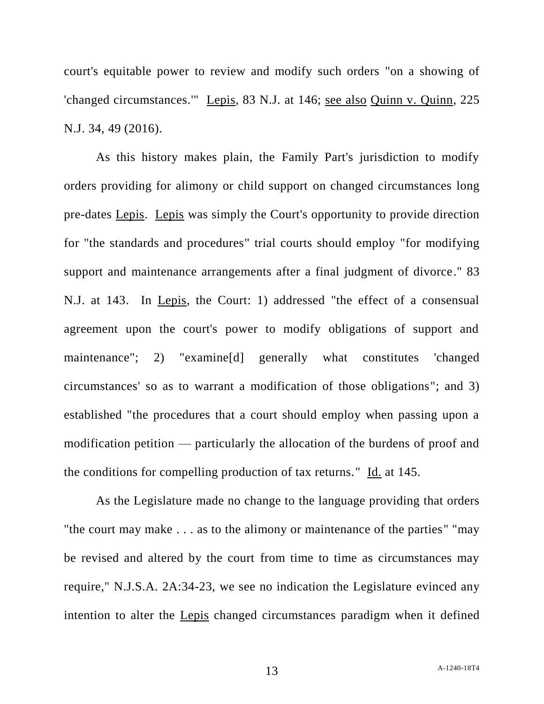court's equitable power to review and modify such orders "on a showing of 'changed circumstances.'" Lepis, 83 N.J. at 146; see also Quinn v. Quinn, 225 N.J. 34, 49 (2016).

As this history makes plain, the Family Part's jurisdiction to modify orders providing for alimony or child support on changed circumstances long pre-dates Lepis. Lepis was simply the Court's opportunity to provide direction for "the standards and procedures" trial courts should employ "for modifying support and maintenance arrangements after a final judgment of divorce." 83 N.J. at 143. In Lepis, the Court: 1) addressed "the effect of a consensual agreement upon the court's power to modify obligations of support and maintenance"; 2) "examine[d] generally what constitutes 'changed circumstances' so as to warrant a modification of those obligations"; and 3) established "the procedures that a court should employ when passing upon a modification petition — particularly the allocation of the burdens of proof and the conditions for compelling production of tax returns." Id. at 145.

As the Legislature made no change to the language providing that orders "the court may make . . . as to the alimony or maintenance of the parties" "may be revised and altered by the court from time to time as circumstances may require," N.J.S.A. 2A:34-23, we see no indication the Legislature evinced any intention to alter the Lepis changed circumstances paradigm when it defined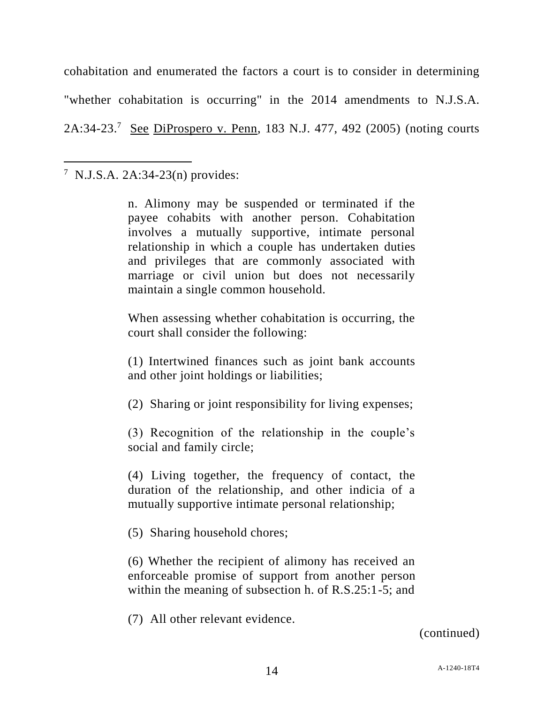cohabitation and enumerated the factors a court is to consider in determining "whether cohabitation is occurring" in the 2014 amendments to N.J.S.A. 2A:34-23.<sup>7</sup> See DiProspero v. Penn, 183 N.J. 477, 492 (2005) (noting courts

<sup>7</sup> N.J.S.A. 2A:34-23(n) provides:

 $\overline{a}$ 

n. Alimony may be suspended or terminated if the payee cohabits with another person. Cohabitation involves a mutually supportive, intimate personal relationship in which a couple has undertaken duties and privileges that are commonly associated with marriage or civil union but does not necessarily maintain a single common household.

When assessing whether cohabitation is occurring, the court shall consider the following:

(1) Intertwined finances such as joint bank accounts and other joint holdings or liabilities;

(2) Sharing or joint responsibility for living expenses;

(3) Recognition of the relationship in the couple's social and family circle;

(4) Living together, the frequency of contact, the duration of the relationship, and other indicia of a mutually supportive intimate personal relationship;

(5) Sharing household chores;

(6) Whether the recipient of alimony has received an enforceable promise of support from another person within the meaning of subsection h. of R.S.25:1-5; and

(7) All other relevant evidence.

(continued)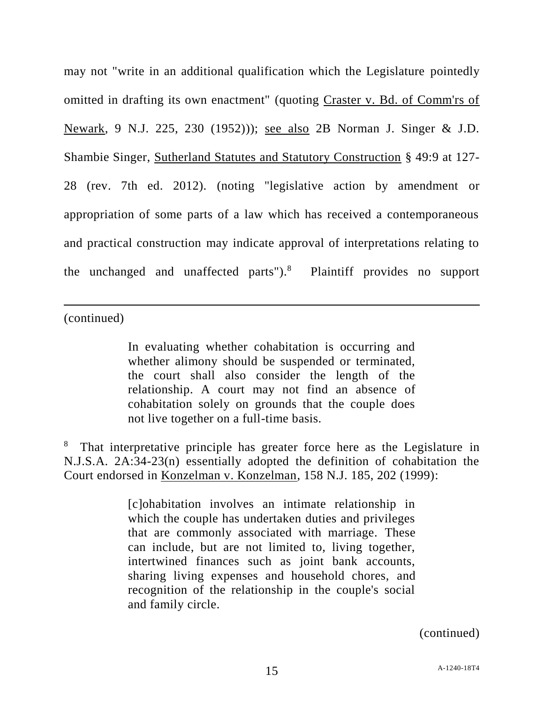may not "write in an additional qualification which the Legislature pointedly omitted in drafting its own enactment" (quoting Craster v. Bd. of Comm'rs of Newark, 9 N.J. 225, 230 (1952))); see also 2B Norman J. Singer & J.D. Shambie Singer, Sutherland Statutes and Statutory Construction § 49:9 at 127- 28 (rev. 7th ed. 2012). (noting "legislative action by amendment or appropriation of some parts of a law which has received a contemporaneous and practical construction may indicate approval of interpretations relating to the unchanged and unaffected parts").<sup>8</sup> Plaintiff provides no support

(continued)

 $\overline{a}$ 

In evaluating whether cohabitation is occurring and whether alimony should be suspended or terminated, the court shall also consider the length of the relationship. A court may not find an absence of cohabitation solely on grounds that the couple does not live together on a full-time basis.

<sup>8</sup> That interpretative principle has greater force here as the Legislature in N.J.S.A. 2A:34-23(n) essentially adopted the definition of cohabitation the Court endorsed in Konzelman v. Konzelman, 158 N.J. 185, 202 (1999):

> [c]ohabitation involves an intimate relationship in which the couple has undertaken duties and privileges that are commonly associated with marriage. These can include, but are not limited to, living together, intertwined finances such as joint bank accounts, sharing living expenses and household chores, and recognition of the relationship in the couple's social and family circle.

> > (continued)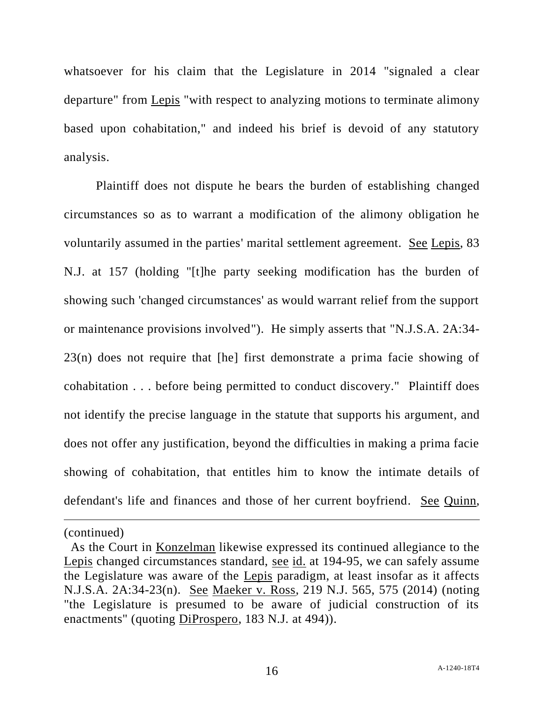whatsoever for his claim that the Legislature in 2014 "signaled a clear departure" from Lepis "with respect to analyzing motions to terminate alimony based upon cohabitation," and indeed his brief is devoid of any statutory analysis.

Plaintiff does not dispute he bears the burden of establishing changed circumstances so as to warrant a modification of the alimony obligation he voluntarily assumed in the parties' marital settlement agreement. See Lepis, 83 N.J. at 157 (holding "[t]he party seeking modification has the burden of showing such 'changed circumstances' as would warrant relief from the support or maintenance provisions involved"). He simply asserts that "N.J.S.A. 2A:34- 23(n) does not require that [he] first demonstrate a prima facie showing of cohabitation . . . before being permitted to conduct discovery." Plaintiff does not identify the precise language in the statute that supports his argument, and does not offer any justification, beyond the difficulties in making a prima facie showing of cohabitation, that entitles him to know the intimate details of defendant's life and finances and those of her current boyfriend. See Quinn,

(continued)

l

As the Court in Konzelman likewise expressed its continued allegiance to the Lepis changed circumstances standard, see id. at 194-95, we can safely assume the Legislature was aware of the Lepis paradigm, at least insofar as it affects N.J.S.A. 2A:34-23(n). See Maeker v. Ross, 219 N.J. 565, 575 (2014) (noting "the Legislature is presumed to be aware of judicial construction of its enactments" (quoting DiProspero, 183 N.J. at 494)).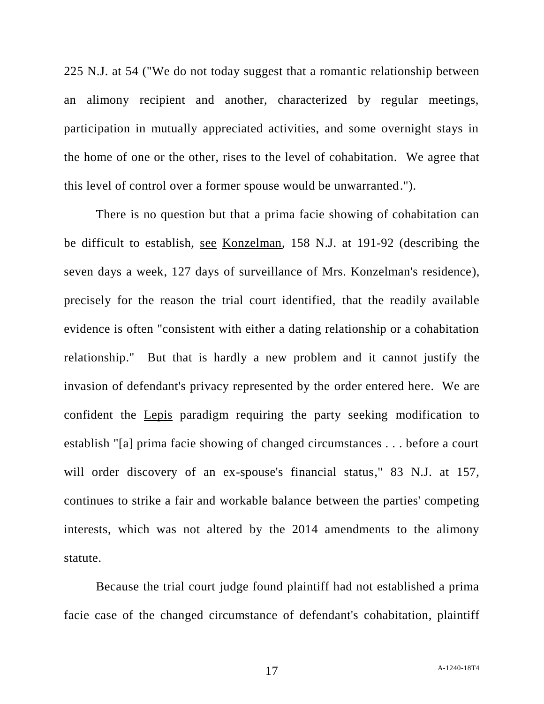225 N.J. at 54 ("We do not today suggest that a romantic relationship between an alimony recipient and another, characterized by regular meetings, participation in mutually appreciated activities, and some overnight stays in the home of one or the other, rises to the level of cohabitation. We agree that this level of control over a former spouse would be unwarranted.").

There is no question but that a prima facie showing of cohabitation can be difficult to establish, see Konzelman, 158 N.J. at 191-92 (describing the seven days a week, 127 days of surveillance of Mrs. Konzelman's residence), precisely for the reason the trial court identified, that the readily available evidence is often "consistent with either a dating relationship or a cohabitation relationship." But that is hardly a new problem and it cannot justify the invasion of defendant's privacy represented by the order entered here. We are confident the Lepis paradigm requiring the party seeking modification to establish "[a] prima facie showing of changed circumstances . . . before a court will order discovery of an ex-spouse's financial status," 83 N.J. at 157, continues to strike a fair and workable balance between the parties' competing interests, which was not altered by the 2014 amendments to the alimony statute.

Because the trial court judge found plaintiff had not established a prima facie case of the changed circumstance of defendant's cohabitation, plaintiff